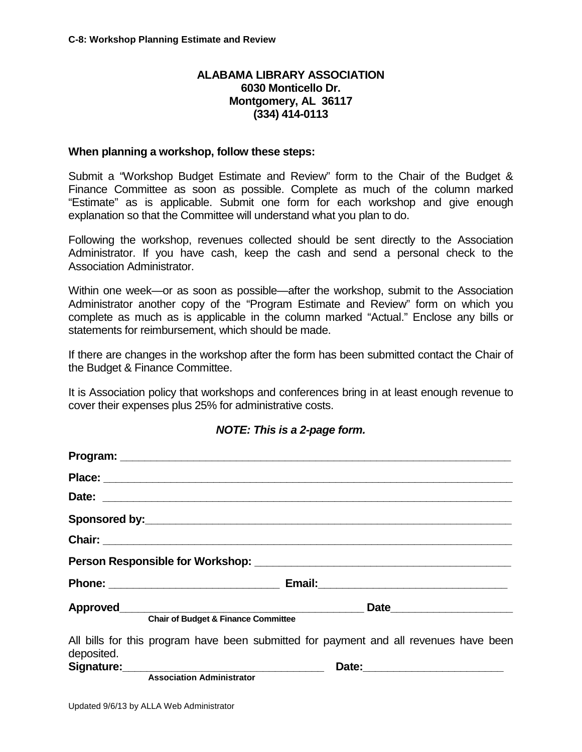## **ALABAMA LIBRARY ASSOCIATION 6030 Monticello Dr. Montgomery, AL 36117 (334) 414-0113**

## **When planning a workshop, follow these steps:**

Submit a "Workshop Budget Estimate and Review" form to the Chair of the Budget & Finance Committee as soon as possible. Complete as much of the column marked "Estimate" as is applicable. Submit one form for each workshop and give enough explanation so that the Committee will understand what you plan to do.

Following the workshop, revenues collected should be sent directly to the Association Administrator. If you have cash, keep the cash and send a personal check to the Association Administrator.

Within one week—or as soon as possible—after the workshop, submit to the Association Administrator another copy of the "Program Estimate and Review" form on which you complete as much as is applicable in the column marked "Actual." Enclose any bills or statements for reimbursement, which should be made.

If there are changes in the workshop after the form has been submitted contact the Chair of the Budget & Finance Committee.

It is Association policy that workshops and conferences bring in at least enough revenue to cover their expenses plus 25% for administrative costs.

|            | <b>Chair of Budget &amp; Finance Committee</b>                                                                                                |
|------------|-----------------------------------------------------------------------------------------------------------------------------------------------|
| deposited. | All bills for this program have been submitted for payment and all revenues have been                                                         |
|            | Signature: <u>contained</u><br>Date: 2008 2010 2010 2021 2022 2023 2024 2022 2022 2023 2024 2022 2023 2024 2022 2023 2024 2025 2026 2027 2028 |
|            | <b>Association Administrator</b>                                                                                                              |

## *NOTE: This is a 2-page form.*